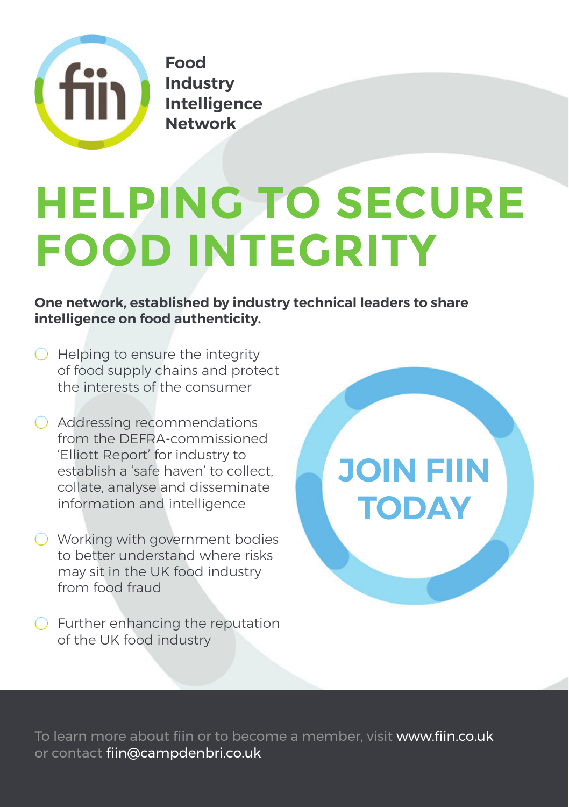

**Food Industry Intelligence Network**

# **HELPING TO SECURE FOOD INTEGRITY**

**One network, established by industry technical leaders to share intelligence on food authenticity.**

- $\bigcirc$  Helping to ensure the integrity of food supply chains and protect the interests of the consumer
- Addressing recommendations from the DEFRA-commissioned 'Elliott Report' for industry to establish a 'safe haven' to collect, collate, analyse and disseminate information and intelligence
- O Working with government bodies to better understand where risks may sit in the UK food industry from food fraud
- $\bigcirc$  Further enhancing the reputation of the UK food industry



To learn more about fiin or to become a member, visit www.fiin.co.uk or contact fiin@campdenbri.co.uk